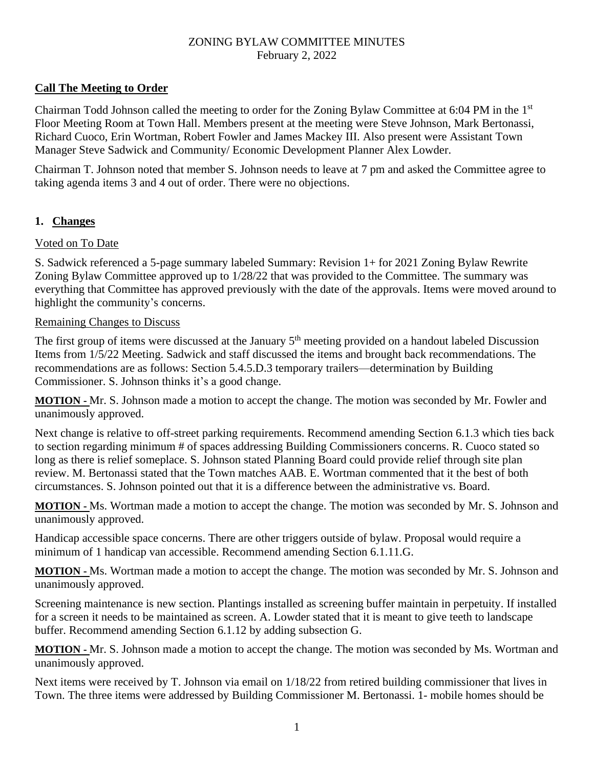## **Call The Meeting to Order**

Chairman Todd Johnson called the meeting to order for the Zoning Bylaw Committee at 6:04 PM in the 1st Floor Meeting Room at Town Hall. Members present at the meeting were Steve Johnson, Mark Bertonassi, Richard Cuoco, Erin Wortman, Robert Fowler and James Mackey III. Also present were Assistant Town Manager Steve Sadwick and Community/ Economic Development Planner Alex Lowder.

Chairman T. Johnson noted that member S. Johnson needs to leave at 7 pm and asked the Committee agree to taking agenda items 3 and 4 out of order. There were no objections.

## **1. Changes**

### Voted on To Date

S. Sadwick referenced a 5-page summary labeled Summary: Revision 1+ for 2021 Zoning Bylaw Rewrite Zoning Bylaw Committee approved up to 1/28/22 that was provided to the Committee. The summary was everything that Committee has approved previously with the date of the approvals. Items were moved around to highlight the community's concerns.

#### Remaining Changes to Discuss

The first group of items were discussed at the January  $5<sup>th</sup>$  meeting provided on a handout labeled Discussion Items from 1/5/22 Meeting. Sadwick and staff discussed the items and brought back recommendations. The recommendations are as follows: Section 5.4.5.D.3 temporary trailers—determination by Building Commissioner. S. Johnson thinks it's a good change.

**MOTION -** Mr. S. Johnson made a motion to accept the change. The motion was seconded by Mr. Fowler and unanimously approved.

Next change is relative to off-street parking requirements. Recommend amending Section 6.1.3 which ties back to section regarding minimum # of spaces addressing Building Commissioners concerns. R. Cuoco stated so long as there is relief someplace. S. Johnson stated Planning Board could provide relief through site plan review. M. Bertonassi stated that the Town matches AAB. E. Wortman commented that it the best of both circumstances. S. Johnson pointed out that it is a difference between the administrative vs. Board.

**MOTION -** Ms. Wortman made a motion to accept the change. The motion was seconded by Mr. S. Johnson and unanimously approved.

Handicap accessible space concerns. There are other triggers outside of bylaw. Proposal would require a minimum of 1 handicap van accessible. Recommend amending Section 6.1.11.G.

**MOTION -** Ms. Wortman made a motion to accept the change. The motion was seconded by Mr. S. Johnson and unanimously approved.

Screening maintenance is new section. Plantings installed as screening buffer maintain in perpetuity. If installed for a screen it needs to be maintained as screen. A. Lowder stated that it is meant to give teeth to landscape buffer. Recommend amending Section 6.1.12 by adding subsection G.

**MOTION -** Mr. S. Johnson made a motion to accept the change. The motion was seconded by Ms. Wortman and unanimously approved.

Next items were received by T. Johnson via email on 1/18/22 from retired building commissioner that lives in Town. The three items were addressed by Building Commissioner M. Bertonassi. 1- mobile homes should be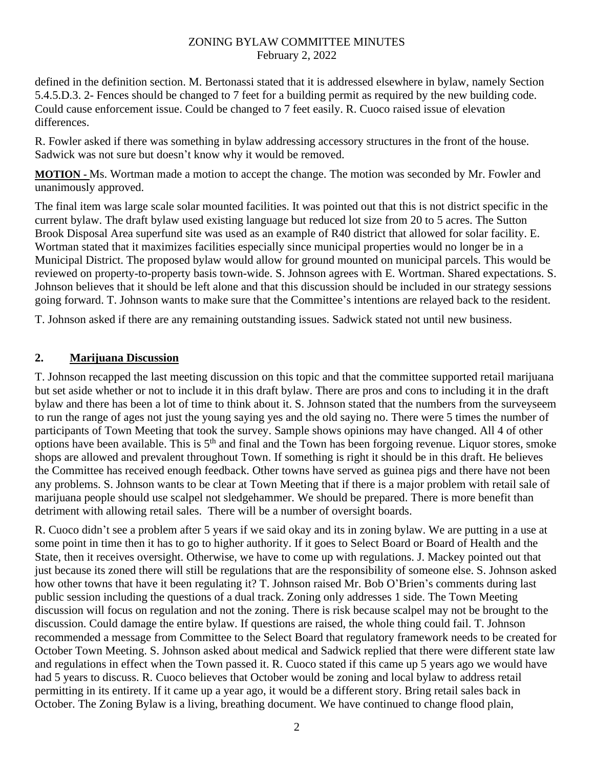defined in the definition section. M. Bertonassi stated that it is addressed elsewhere in bylaw, namely Section 5.4.5.D.3. 2- Fences should be changed to 7 feet for a building permit as required by the new building code. Could cause enforcement issue. Could be changed to 7 feet easily. R. Cuoco raised issue of elevation differences.

R. Fowler asked if there was something in bylaw addressing accessory structures in the front of the house. Sadwick was not sure but doesn't know why it would be removed.

**MOTION -** Ms. Wortman made a motion to accept the change. The motion was seconded by Mr. Fowler and unanimously approved.

The final item was large scale solar mounted facilities. It was pointed out that this is not district specific in the current bylaw. The draft bylaw used existing language but reduced lot size from 20 to 5 acres. The Sutton Brook Disposal Area superfund site was used as an example of R40 district that allowed for solar facility. E. Wortman stated that it maximizes facilities especially since municipal properties would no longer be in a Municipal District. The proposed bylaw would allow for ground mounted on municipal parcels. This would be reviewed on property-to-property basis town-wide. S. Johnson agrees with E. Wortman. Shared expectations. S. Johnson believes that it should be left alone and that this discussion should be included in our strategy sessions going forward. T. Johnson wants to make sure that the Committee's intentions are relayed back to the resident.

T. Johnson asked if there are any remaining outstanding issues. Sadwick stated not until new business.

### **2. Marijuana Discussion**

T. Johnson recapped the last meeting discussion on this topic and that the committee supported retail marijuana but set aside whether or not to include it in this draft bylaw. There are pros and cons to including it in the draft bylaw and there has been a lot of time to think about it. S. Johnson stated that the numbers from the surveyseem to run the range of ages not just the young saying yes and the old saying no. There were 5 times the number of participants of Town Meeting that took the survey. Sample shows opinions may have changed. All 4 of other options have been available. This is  $5<sup>th</sup>$  and final and the Town has been forgoing revenue. Liquor stores, smoke shops are allowed and prevalent throughout Town. If something is right it should be in this draft. He believes the Committee has received enough feedback. Other towns have served as guinea pigs and there have not been any problems. S. Johnson wants to be clear at Town Meeting that if there is a major problem with retail sale of marijuana people should use scalpel not sledgehammer. We should be prepared. There is more benefit than detriment with allowing retail sales. There will be a number of oversight boards.

R. Cuoco didn't see a problem after 5 years if we said okay and its in zoning bylaw. We are putting in a use at some point in time then it has to go to higher authority. If it goes to Select Board or Board of Health and the State, then it receives oversight. Otherwise, we have to come up with regulations. J. Mackey pointed out that just because its zoned there will still be regulations that are the responsibility of someone else. S. Johnson asked how other towns that have it been regulating it? T. Johnson raised Mr. Bob O'Brien's comments during last public session including the questions of a dual track. Zoning only addresses 1 side. The Town Meeting discussion will focus on regulation and not the zoning. There is risk because scalpel may not be brought to the discussion. Could damage the entire bylaw. If questions are raised, the whole thing could fail. T. Johnson recommended a message from Committee to the Select Board that regulatory framework needs to be created for October Town Meeting. S. Johnson asked about medical and Sadwick replied that there were different state law and regulations in effect when the Town passed it. R. Cuoco stated if this came up 5 years ago we would have had 5 years to discuss. R. Cuoco believes that October would be zoning and local bylaw to address retail permitting in its entirety. If it came up a year ago, it would be a different story. Bring retail sales back in October. The Zoning Bylaw is a living, breathing document. We have continued to change flood plain,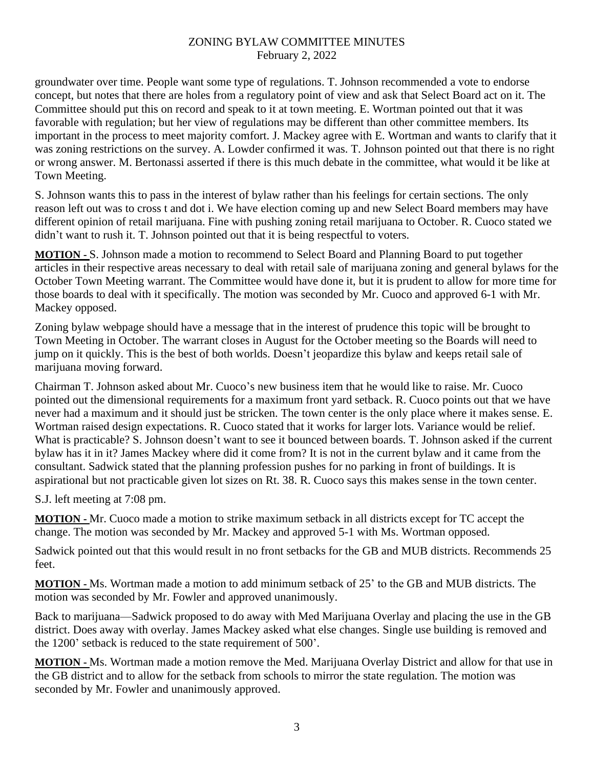groundwater over time. People want some type of regulations. T. Johnson recommended a vote to endorse concept, but notes that there are holes from a regulatory point of view and ask that Select Board act on it. The Committee should put this on record and speak to it at town meeting. E. Wortman pointed out that it was favorable with regulation; but her view of regulations may be different than other committee members. Its important in the process to meet majority comfort. J. Mackey agree with E. Wortman and wants to clarify that it was zoning restrictions on the survey. A. Lowder confirmed it was. T. Johnson pointed out that there is no right or wrong answer. M. Bertonassi asserted if there is this much debate in the committee, what would it be like at Town Meeting.

S. Johnson wants this to pass in the interest of bylaw rather than his feelings for certain sections. The only reason left out was to cross t and dot i. We have election coming up and new Select Board members may have different opinion of retail marijuana. Fine with pushing zoning retail marijuana to October. R. Cuoco stated we didn't want to rush it. T. Johnson pointed out that it is being respectful to voters.

**MOTION -** S. Johnson made a motion to recommend to Select Board and Planning Board to put together articles in their respective areas necessary to deal with retail sale of marijuana zoning and general bylaws for the October Town Meeting warrant. The Committee would have done it, but it is prudent to allow for more time for those boards to deal with it specifically. The motion was seconded by Mr. Cuoco and approved 6-1 with Mr. Mackey opposed.

Zoning bylaw webpage should have a message that in the interest of prudence this topic will be brought to Town Meeting in October. The warrant closes in August for the October meeting so the Boards will need to jump on it quickly. This is the best of both worlds. Doesn't jeopardize this bylaw and keeps retail sale of marijuana moving forward.

Chairman T. Johnson asked about Mr. Cuoco's new business item that he would like to raise. Mr. Cuoco pointed out the dimensional requirements for a maximum front yard setback. R. Cuoco points out that we have never had a maximum and it should just be stricken. The town center is the only place where it makes sense. E. Wortman raised design expectations. R. Cuoco stated that it works for larger lots. Variance would be relief. What is practicable? S. Johnson doesn't want to see it bounced between boards. T. Johnson asked if the current bylaw has it in it? James Mackey where did it come from? It is not in the current bylaw and it came from the consultant. Sadwick stated that the planning profession pushes for no parking in front of buildings. It is aspirational but not practicable given lot sizes on Rt. 38. R. Cuoco says this makes sense in the town center.

S.J. left meeting at 7:08 pm.

**MOTION -** Mr. Cuoco made a motion to strike maximum setback in all districts except for TC accept the change. The motion was seconded by Mr. Mackey and approved 5-1 with Ms. Wortman opposed.

Sadwick pointed out that this would result in no front setbacks for the GB and MUB districts. Recommends 25 feet.

**MOTION -** Ms. Wortman made a motion to add minimum setback of 25' to the GB and MUB districts. The motion was seconded by Mr. Fowler and approved unanimously.

Back to marijuana—Sadwick proposed to do away with Med Marijuana Overlay and placing the use in the GB district. Does away with overlay. James Mackey asked what else changes. Single use building is removed and the 1200' setback is reduced to the state requirement of 500'.

**MOTION -** Ms. Wortman made a motion remove the Med. Marijuana Overlay District and allow for that use in the GB district and to allow for the setback from schools to mirror the state regulation. The motion was seconded by Mr. Fowler and unanimously approved.